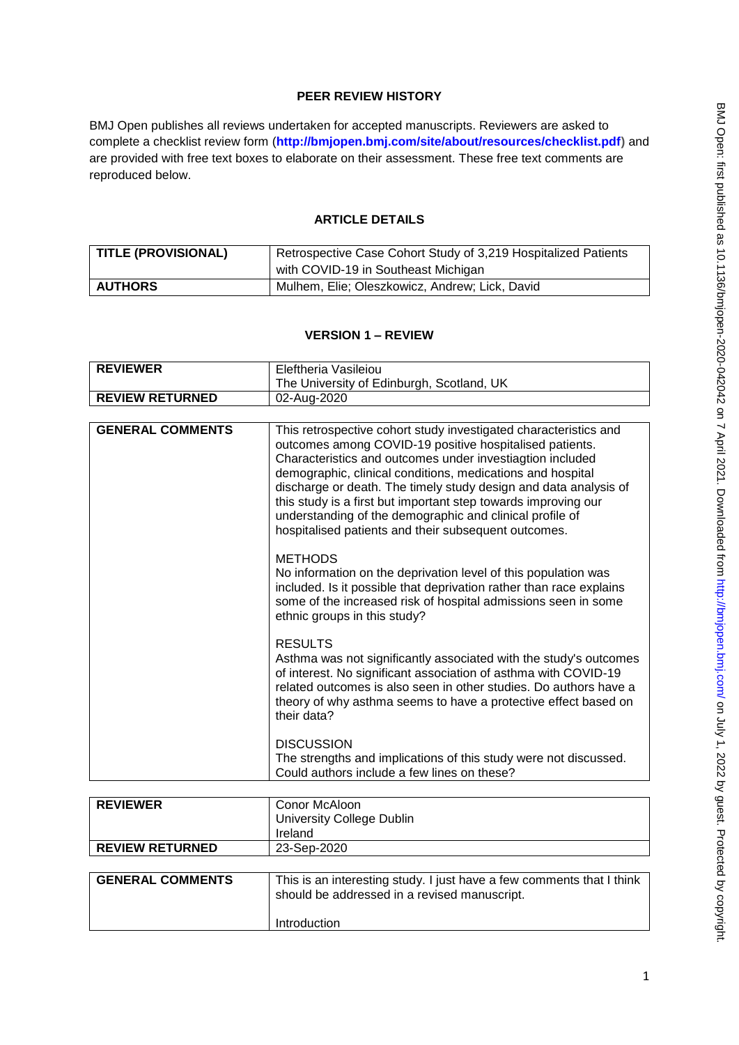# **PEER REVIEW HISTORY**

BMJ Open publishes all reviews undertaken for accepted manuscripts. Reviewers are asked to complete a checklist review form (**[http://bmjopen.bmj.com/site/about/resources/checklist.pdf\)](http://bmjopen.bmj.com/site/about/resources/checklist.pdf)** and are provided with free text boxes to elaborate on their assessment. These free text comments are reproduced below.

## **ARTICLE DETAILS**

| TITLE (PROVISIONAL) | Retrospective Case Cohort Study of 3,219 Hospitalized Patients |
|---------------------|----------------------------------------------------------------|
|                     | with COVID-19 in Southeast Michigan                            |
| <b>AUTHORS</b>      | Mulhem, Elie; Oleszkowicz, Andrew; Lick, David                 |

# **VERSION 1 – REVIEW**

| <b>REVIEWER</b>         | Eleftheria Vasileiou                                                                                                                                                                                                                                                                                                                                                                                                                                                                                             |
|-------------------------|------------------------------------------------------------------------------------------------------------------------------------------------------------------------------------------------------------------------------------------------------------------------------------------------------------------------------------------------------------------------------------------------------------------------------------------------------------------------------------------------------------------|
|                         | The University of Edinburgh, Scotland, UK                                                                                                                                                                                                                                                                                                                                                                                                                                                                        |
| <b>REVIEW RETURNED</b>  | 02-Aug-2020                                                                                                                                                                                                                                                                                                                                                                                                                                                                                                      |
|                         |                                                                                                                                                                                                                                                                                                                                                                                                                                                                                                                  |
| <b>GENERAL COMMENTS</b> | This retrospective cohort study investigated characteristics and<br>outcomes among COVID-19 positive hospitalised patients.<br>Characteristics and outcomes under investiagtion included<br>demographic, clinical conditions, medications and hospital<br>discharge or death. The timely study design and data analysis of<br>this study is a first but important step towards improving our<br>understanding of the demographic and clinical profile of<br>hospitalised patients and their subsequent outcomes. |
|                         | <b>METHODS</b><br>No information on the deprivation level of this population was<br>included. Is it possible that deprivation rather than race explains<br>some of the increased risk of hospital admissions seen in some<br>ethnic groups in this study?                                                                                                                                                                                                                                                        |
|                         | <b>RESULTS</b><br>Asthma was not significantly associated with the study's outcomes<br>of interest. No significant association of asthma with COVID-19<br>related outcomes is also seen in other studies. Do authors have a<br>theory of why asthma seems to have a protective effect based on<br>their data?                                                                                                                                                                                                    |
|                         | <b>DISCUSSION</b><br>The strengths and implications of this study were not discussed.<br>Could authors include a few lines on these?                                                                                                                                                                                                                                                                                                                                                                             |

| <b>REVIEWER</b>         | Conor McAloon                                                                                                         |
|-------------------------|-----------------------------------------------------------------------------------------------------------------------|
|                         | <b>University College Dublin</b>                                                                                      |
|                         | Ireland                                                                                                               |
| <b>REVIEW RETURNED</b>  | 23-Sep-2020                                                                                                           |
|                         |                                                                                                                       |
| <b>GENERAL COMMENTS</b> | This is an interesting study. I just have a few comments that I think<br>should be addressed in a revised manuscript. |

Introduction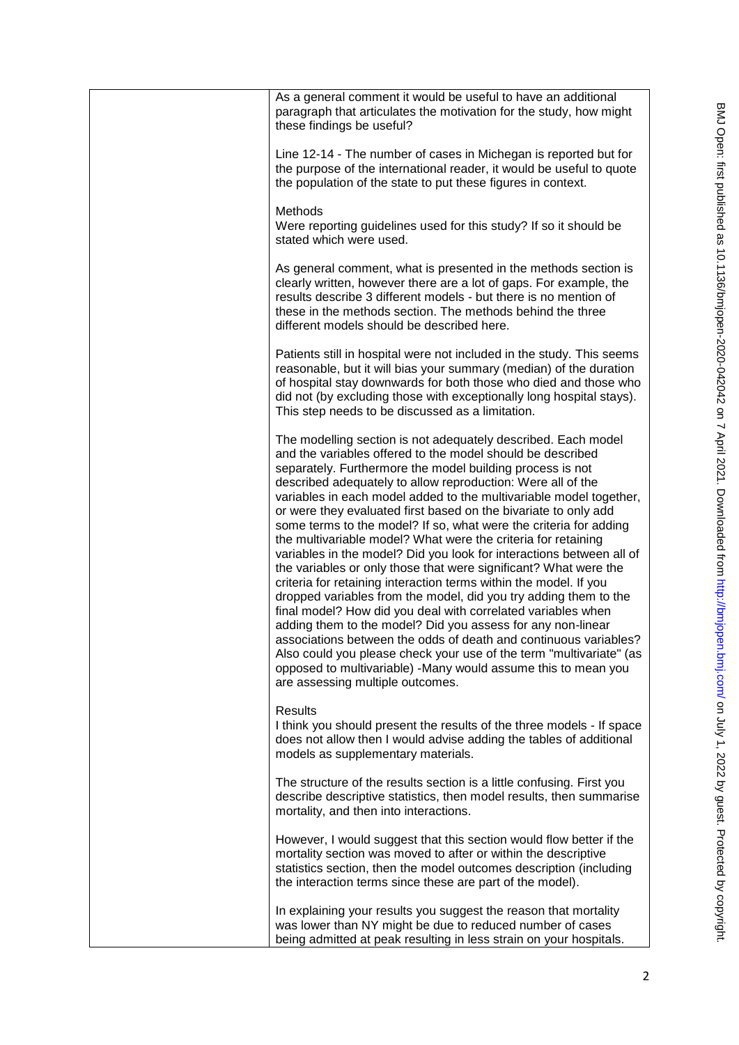| As a general comment it would be useful to have an additional<br>paragraph that articulates the motivation for the study, how might<br>these findings be useful?                                                                                                                                                                                                                                                                                                                                                                                                                                                                                                                                                                                                                                                                                                                                                                                                                                                                                                                                                                                                                                           |
|------------------------------------------------------------------------------------------------------------------------------------------------------------------------------------------------------------------------------------------------------------------------------------------------------------------------------------------------------------------------------------------------------------------------------------------------------------------------------------------------------------------------------------------------------------------------------------------------------------------------------------------------------------------------------------------------------------------------------------------------------------------------------------------------------------------------------------------------------------------------------------------------------------------------------------------------------------------------------------------------------------------------------------------------------------------------------------------------------------------------------------------------------------------------------------------------------------|
| Line 12-14 - The number of cases in Michegan is reported but for<br>the purpose of the international reader, it would be useful to quote<br>the population of the state to put these figures in context.                                                                                                                                                                                                                                                                                                                                                                                                                                                                                                                                                                                                                                                                                                                                                                                                                                                                                                                                                                                                   |
| <b>Methods</b><br>Were reporting guidelines used for this study? If so it should be<br>stated which were used.                                                                                                                                                                                                                                                                                                                                                                                                                                                                                                                                                                                                                                                                                                                                                                                                                                                                                                                                                                                                                                                                                             |
| As general comment, what is presented in the methods section is<br>clearly written, however there are a lot of gaps. For example, the<br>results describe 3 different models - but there is no mention of<br>these in the methods section. The methods behind the three<br>different models should be described here.                                                                                                                                                                                                                                                                                                                                                                                                                                                                                                                                                                                                                                                                                                                                                                                                                                                                                      |
| Patients still in hospital were not included in the study. This seems<br>reasonable, but it will bias your summary (median) of the duration<br>of hospital stay downwards for both those who died and those who<br>did not (by excluding those with exceptionally long hospital stays).<br>This step needs to be discussed as a limitation.                                                                                                                                                                                                                                                                                                                                                                                                                                                                                                                                                                                                                                                                                                                                                                                                                                                                |
| The modelling section is not adequately described. Each model<br>and the variables offered to the model should be described<br>separately. Furthermore the model building process is not<br>described adequately to allow reproduction: Were all of the<br>variables in each model added to the multivariable model together,<br>or were they evaluated first based on the bivariate to only add<br>some terms to the model? If so, what were the criteria for adding<br>the multivariable model? What were the criteria for retaining<br>variables in the model? Did you look for interactions between all of<br>the variables or only those that were significant? What were the<br>criteria for retaining interaction terms within the model. If you<br>dropped variables from the model, did you try adding them to the<br>final model? How did you deal with correlated variables when<br>adding them to the model? Did you assess for any non-linear<br>associations between the odds of death and continuous variables?<br>Also could you please check your use of the term "multivariate" (as<br>opposed to multivariable) -Many would assume this to mean you<br>are assessing multiple outcomes. |
| <b>Results</b><br>I think you should present the results of the three models - If space<br>does not allow then I would advise adding the tables of additional<br>models as supplementary materials.                                                                                                                                                                                                                                                                                                                                                                                                                                                                                                                                                                                                                                                                                                                                                                                                                                                                                                                                                                                                        |
| The structure of the results section is a little confusing. First you<br>describe descriptive statistics, then model results, then summarise<br>mortality, and then into interactions.                                                                                                                                                                                                                                                                                                                                                                                                                                                                                                                                                                                                                                                                                                                                                                                                                                                                                                                                                                                                                     |
| However, I would suggest that this section would flow better if the<br>mortality section was moved to after or within the descriptive<br>statistics section, then the model outcomes description (including<br>the interaction terms since these are part of the model).                                                                                                                                                                                                                                                                                                                                                                                                                                                                                                                                                                                                                                                                                                                                                                                                                                                                                                                                   |
| In explaining your results you suggest the reason that mortality<br>was lower than NY might be due to reduced number of cases<br>being admitted at peak resulting in less strain on your hospitals.                                                                                                                                                                                                                                                                                                                                                                                                                                                                                                                                                                                                                                                                                                                                                                                                                                                                                                                                                                                                        |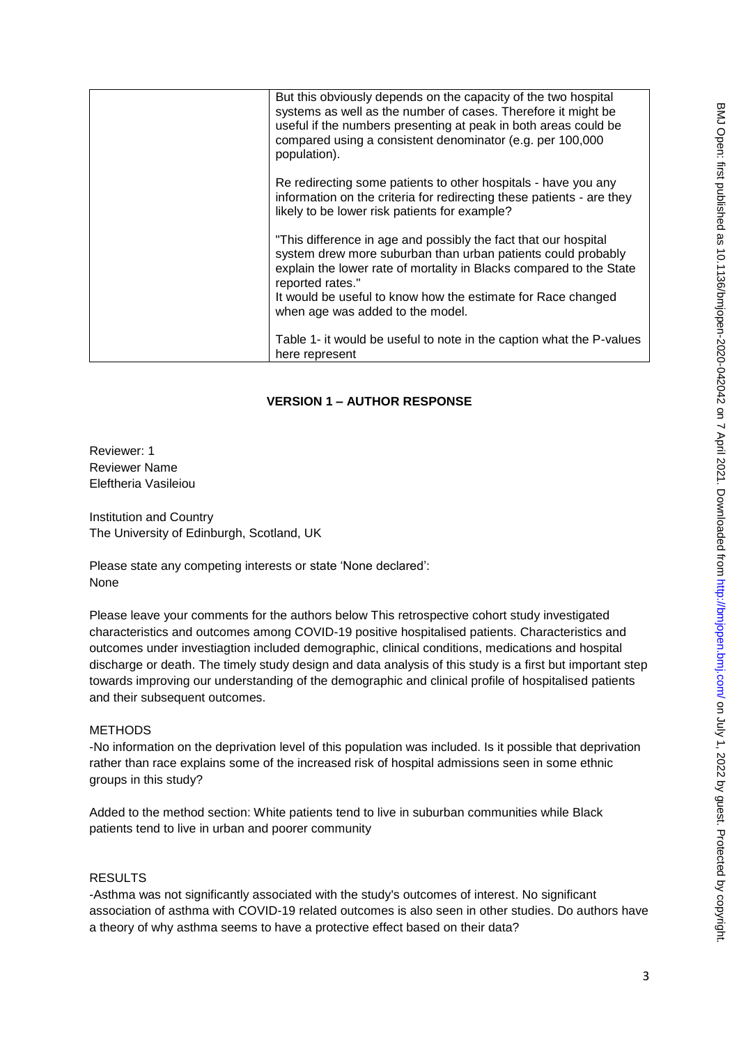| But this obviously depends on the capacity of the two hospital<br>systems as well as the number of cases. Therefore it might be<br>useful if the numbers presenting at peak in both areas could be<br>compared using a consistent denominator (e.g. per 100,000<br>population).                                                |
|--------------------------------------------------------------------------------------------------------------------------------------------------------------------------------------------------------------------------------------------------------------------------------------------------------------------------------|
| Re redirecting some patients to other hospitals - have you any<br>information on the criteria for redirecting these patients - are they<br>likely to be lower risk patients for example?                                                                                                                                       |
| "This difference in age and possibly the fact that our hospital<br>system drew more suburban than urban patients could probably<br>explain the lower rate of mortality in Blacks compared to the State<br>reported rates."<br>It would be useful to know how the estimate for Race changed<br>when age was added to the model. |
| Table 1- it would be useful to note in the caption what the P-values<br>here represent                                                                                                                                                                                                                                         |

## **VERSION 1 – AUTHOR RESPONSE**

Reviewer: 1 Reviewer Name Eleftheria Vasileiou

Institution and Country The University of Edinburgh, Scotland, UK

Please state any competing interests or state 'None declared': None

Please leave your comments for the authors below This retrospective cohort study investigated characteristics and outcomes among COVID-19 positive hospitalised patients. Characteristics and outcomes under investiagtion included demographic, clinical conditions, medications and hospital discharge or death. The timely study design and data analysis of this study is a first but important step towards improving our understanding of the demographic and clinical profile of hospitalised patients and their subsequent outcomes.

## **METHODS**

-No information on the deprivation level of this population was included. Is it possible that deprivation rather than race explains some of the increased risk of hospital admissions seen in some ethnic groups in this study?

Added to the method section: White patients tend to live in suburban communities while Black patients tend to live in urban and poorer community

# RESULTS

-Asthma was not significantly associated with the study's outcomes of interest. No significant association of asthma with COVID-19 related outcomes is also seen in other studies. Do authors have a theory of why asthma seems to have a protective effect based on their data?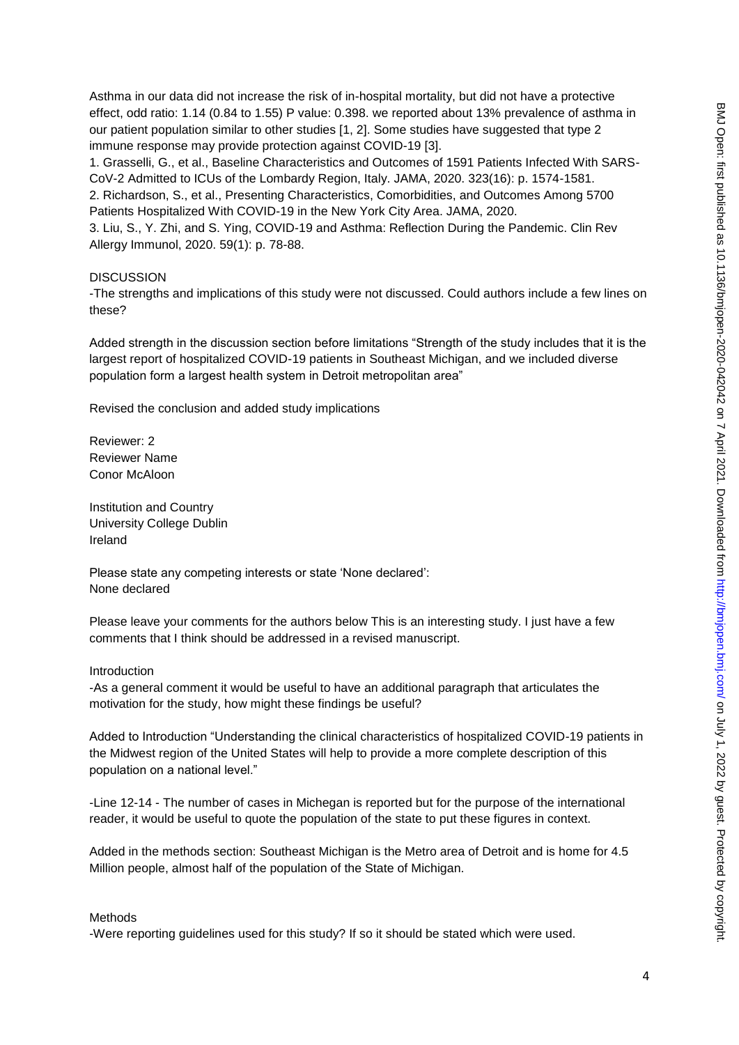Asthma in our data did not increase the risk of in-hospital mortality, but did not have a protective effect, odd ratio: 1.14 (0.84 to 1.55) P value: 0.398. we reported about 13% prevalence of asthma in our patient population similar to other studies [1, 2]. Some studies have suggested that type 2 immune response may provide protection against COVID-19 [3].

1. Grasselli, G., et al., Baseline Characteristics and Outcomes of 1591 Patients Infected With SARS-CoV-2 Admitted to ICUs of the Lombardy Region, Italy. JAMA, 2020. 323(16): p. 1574-1581.

2. Richardson, S., et al., Presenting Characteristics, Comorbidities, and Outcomes Among 5700 Patients Hospitalized With COVID-19 in the New York City Area. JAMA, 2020.

3. Liu, S., Y. Zhi, and S. Ying, COVID-19 and Asthma: Reflection During the Pandemic. Clin Rev Allergy Immunol, 2020. 59(1): p. 78-88.

### **DISCUSSION**

-The strengths and implications of this study were not discussed. Could authors include a few lines on these?

Added strength in the discussion section before limitations "Strength of the study includes that it is the largest report of hospitalized COVID-19 patients in Southeast Michigan, and we included diverse population form a largest health system in Detroit metropolitan area"

Revised the conclusion and added study implications

Reviewer: 2 Reviewer Name Conor McAloon

Institution and Country University College Dublin Ireland

Please state any competing interests or state 'None declared': None declared

Please leave your comments for the authors below This is an interesting study. I just have a few comments that I think should be addressed in a revised manuscript.

### Introduction

-As a general comment it would be useful to have an additional paragraph that articulates the motivation for the study, how might these findings be useful?

Added to Introduction "Understanding the clinical characteristics of hospitalized COVID-19 patients in the Midwest region of the United States will help to provide a more complete description of this population on a national level."

-Line 12-14 - The number of cases in Michegan is reported but for the purpose of the international reader, it would be useful to quote the population of the state to put these figures in context.

Added in the methods section: Southeast Michigan is the Metro area of Detroit and is home for 4.5 Million people, almost half of the population of the State of Michigan.

#### Methods

-Were reporting guidelines used for this study? If so it should be stated which were used.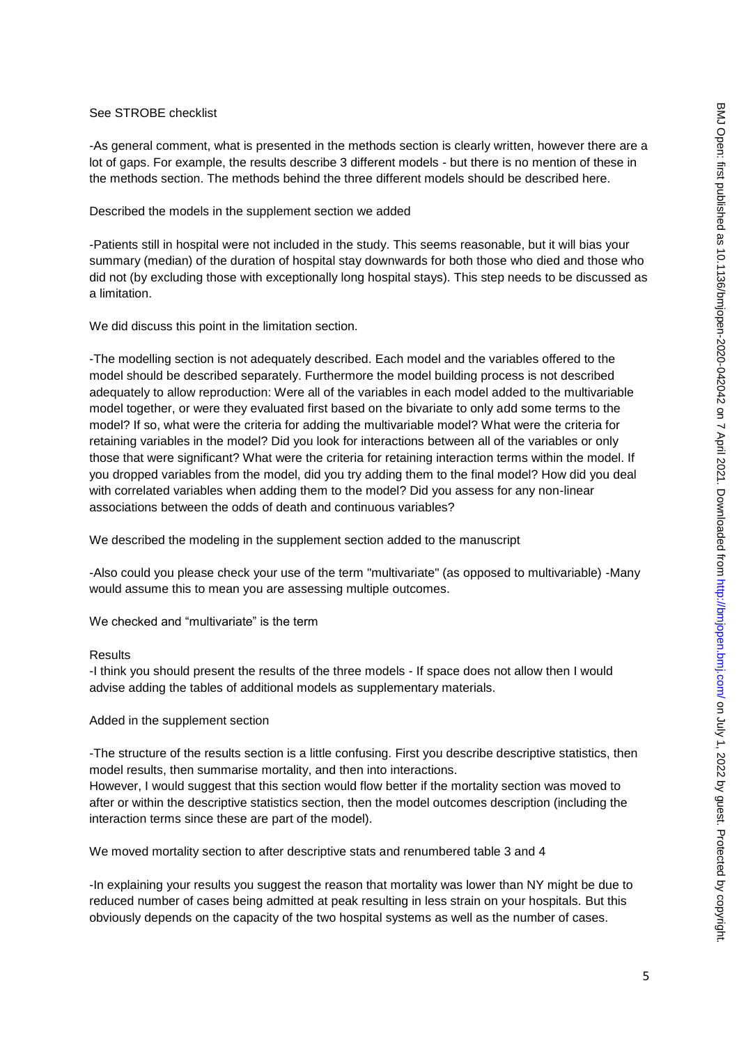### See STROBE checklist

-As general comment, what is presented in the methods section is clearly written, however there are a lot of gaps. For example, the results describe 3 different models - but there is no mention of these in the methods section. The methods behind the three different models should be described here.

### Described the models in the supplement section we added

-Patients still in hospital were not included in the study. This seems reasonable, but it will bias your summary (median) of the duration of hospital stay downwards for both those who died and those who did not (by excluding those with exceptionally long hospital stays). This step needs to be discussed as a limitation.

We did discuss this point in the limitation section.

-The modelling section is not adequately described. Each model and the variables offered to the model should be described separately. Furthermore the model building process is not described adequately to allow reproduction: Were all of the variables in each model added to the multivariable model together, or were they evaluated first based on the bivariate to only add some terms to the model? If so, what were the criteria for adding the multivariable model? What were the criteria for retaining variables in the model? Did you look for interactions between all of the variables or only those that were significant? What were the criteria for retaining interaction terms within the model. If you dropped variables from the model, did you try adding them to the final model? How did you deal with correlated variables when adding them to the model? Did you assess for any non-linear associations between the odds of death and continuous variables?

We described the modeling in the supplement section added to the manuscript

-Also could you please check your use of the term "multivariate" (as opposed to multivariable) -Many would assume this to mean you are assessing multiple outcomes.

We checked and "multivariate" is the term

#### **Results**

-I think you should present the results of the three models - If space does not allow then I would advise adding the tables of additional models as supplementary materials.

#### Added in the supplement section

-The structure of the results section is a little confusing. First you describe descriptive statistics, then model results, then summarise mortality, and then into interactions.

However, I would suggest that this section would flow better if the mortality section was moved to after or within the descriptive statistics section, then the model outcomes description (including the interaction terms since these are part of the model).

We moved mortality section to after descriptive stats and renumbered table 3 and 4

-In explaining your results you suggest the reason that mortality was lower than NY might be due to reduced number of cases being admitted at peak resulting in less strain on your hospitals. But this obviously depends on the capacity of the two hospital systems as well as the number of cases.